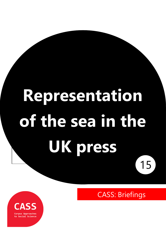# **Representation of the sea in the UK press** 15

CASS: Briefings

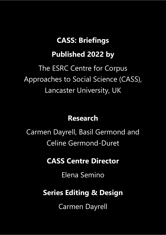## **CASS: Briefings**

## **Published 2022 by**

The ESRC Centre for Corpus Approaches to Social Science (CASS), Lancaster University, UK

#### **Research**

Carmen Dayrell, Basil Germond and Celine Germond-Duret

## **CASS Centre Director**

Elena Semino

## **Series Editing & Design**

Carmen Dayrell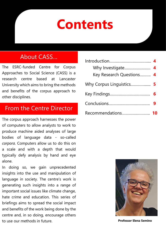## **Contents**

#### About CASS…

The ESRC-funded Centre for Corpus Approaches to Social Science (CASS) is a research centre based at Lancaster University which aims to bring the methods and benefits of the corpus approach to other disciplines.

#### From the Centre Director

The corpus approach harnesses the power of computers to allow analysts to work to produce machine aided analyses of large bodies of language data - so-called *corpora*. Computers allow us to do this on a scale and with a depth that would typically defy analysis by hand and eye alone.

In doing so, we gain unprecedented insights into the use and manipulation of language in society. The centre's work is generating such insights into a range of important social issues like climate change, hate crime and education. This series of briefings aims to spread the social impact and benefits of the work being done by the centre and, in so doing, encourage others to use our methods in future.

| Key Research Questions 4 |  |
|--------------------------|--|
|                          |  |
|                          |  |
|                          |  |
| Recommendations          |  |



**Professor Elena Semino**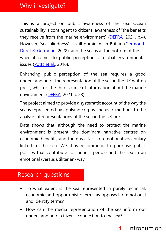#### Why investigate?

This is a project on public awareness of the sea. Ocean sustainability is contingent to citizens' awareness of "the benefits they receive from the marine environment" ([DEFRA,](https://oceanconservationtrust.org/app/uploads/15131_ME5239OceanLiteracyHeadlineReport_FINAL.pdf) 2021, p.4). However, 'sea blindness' is still dominant in Britain [\(Germond-](https://rgs-ibg.onlinelibrary.wiley.com/doi/10.1111/geoj.12433)[Duret & Germond,](https://rgs-ibg.onlinelibrary.wiley.com/doi/10.1111/geoj.12433) 2022), and the sea is at the bottom of the list when it comes to public perception of global environmental issues [\(Potts et al.,](https://doi.org/10.1016/j.marpol.2016.06.012) 2016).

Enhancing public perception of the sea requires a good understanding of the representation of the sea in the UK written press, which is the third source of information about the marine environment [\(DEFRA,](https://oceanconservationtrust.org/app/uploads/15131_ME5239OceanLiteracyHeadlineReport_FINAL.pdf) 2021, p.23).

The project aimed to provide a systematic account of the way the sea is represented by applying corpus linguistic methods to the analysis of representations of the sea in the UK press.

Data shows that, although the need to protect the marine environment is present, the dominant narrative centres on economic benefits, and there is a lack of emotional vocabulary linked to the sea. We thus recommend to prioritise public policies that contribute to connect people and the sea in an emotional (versus utilitarian) way.

#### Research questions

- To what extent is the sea represented in purely technical, economic and opportunistic terms as opposed to emotional and identity terms?
- How can the media representation of the sea inform our understanding of citizens' connection to the sea?

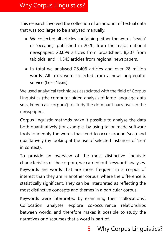## Why Corpus Linguistics?

This research involved the collection of an amount of textual data that was too large to be analysed manually:

- We collected all articles containing either the words 'sea(s)' or 'ocean(s)' published in 2020, from the major national newspapers: 20,099 articles from broadsheet, 8,307 from tabloids, and 11,545 articles from regional newspapers.
- In total we analysed 28,406 articles and over 28 million words. All texts were collected from a news aggregator service (LexisNexis).

We used analytical techniques associated with the field of Corpus Linguistics (the computer-aided analysis of large language data sets, known as 'corpora') to study the dominant narratives in the newspapers.

Corpus linguistic methods make it possible to analyse the data both quantitatively (for example, by using tailor-made software tools to identify the words that tend to occur around 'sea') and qualitatively (by looking at the use of selected instances of 'sea' in context).

To provide an overview of the most distinctive linguistic characteristics of the corpora, we carried out 'keyword' analyses. Keywords are words that are more frequent in a corpus of interest than they are in another corpus, where the difference is statistically significant. They can be interpreted as reflecting the most distinctive concepts and themes in a particular corpus.

Keywords were interpreted by examining their 'collocations'. Collocation analyses explore co-occurrence relationships between words, and therefore makes it possible to study the narratives or discourses that a word is part of.

## 5 Why Corpus Linguistics?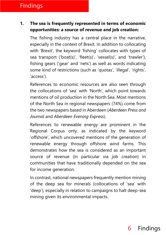#### Findings

#### **1. The sea is frequently represented in terms of economic opportunities: a source of revenue and job creation:**

The fishing industry has a central place in the narrative, especially in the context of Brexit. In addition to collocating with 'Brexit', the keyword 'fishing' collocates with types of sea transport ('boat(s)', 'fleet(s)', 'vessel(s)', and 'trawler'), fishing gears ('gear' and 'nets') as well as words indicating some kind of restrictions (such as 'quotas', 'illegal', 'rights', 'access').

References to economic resources are also seen through the collocations of 'sea' with 'North', which point towards mentions of oil production in the North Sea. Most mentions of the North Sea in regional newspapers (74%) come from the two newspapers based in Aberdeen (*Aberdeen Press and Journal* and *Aberdeen Evening Express*).

References to renewable energy are prominent in the Regional Corpus only, as indicated by the keyword 'offshore', which uncovered mentions of the generation of renewable energy through offshore wind farms. This demonstrates how the sea is considered as an important source of revenue (in particular via job creation) in communities that have traditionally depended on the sea for income generation.

In contrast, national newspapers frequently mention mining of the deep sea for minerals (collocations of 'sea' with 'deep'), especially in relation to campaigns to halt deep-sea mining given its environmental impacts.

## 6 Findings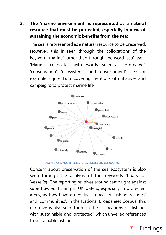#### **2. The 'marine environment' is represented as a natural resource that must be protected, especially in view of sustaining the economic benefits from the sea:**

The sea is represented as a natural resource to be preserved. However, this is seen through the collocations of the keyword 'marine' rather than through the word 'sea' itself. 'Marine' collocates with words such as 'protected', 'conservation', 'ecosystems' and 'environment' (see for example Figure 1), uncovering mentions of initiatives and campaigns to protect marine life.



Figure 1: Collocates of 'marine' in the National Broadsheet Corpus

Concern about preservation of the sea ecosystem is also seen through the analysis of the keywords 'boats' or 'vessel(s)'. The reporting revolves around campaigns against supertrawlers fishing in UK waters, especially in protected areas, as they have a negative impact on fishing 'villages' and 'communities'. In the National Broadsheet Corpus, this narrative is also seen through the collocations of 'fishing' with 'sustainable' and 'protected', which unveiled references to sustainable fishing.

## 7 Findings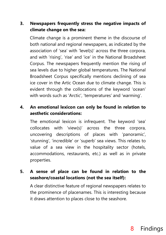#### **3. Newspapers frequently stress the negative impacts of climate change on the sea:**

Climate change is a prominent theme in the discourse of both national and regional newspapers, as indicated by the association of 'sea' with 'level(s)' across the three corpora, and with 'rising', 'rise' and 'ice' in the National Broadsheet Corpus. The newspapers frequently mention the rising of sea levels due to higher global temperatures. The National Broadsheet Corpus specifically mentions declining of sea ice cover in the Artic Ocean due to climate change. This is evident through the collocations of the keyword 'ocean' with words such as 'Arctic', 'temperatures' and 'warming'.

#### **4. An emotional lexicon can only be found in relation to aesthetic considerations:**

The emotional lexicon is infrequent. The keyword 'sea' collocates with 'view(s)' across the three corpora, uncovering descriptions of places with 'panoramic', 'stunning', 'incredible' or 'superb' sea views. This relates to value of a sea view in the hospitality sector (hotels, accommodations, restaurants, etc.) as well as in private properties.

#### **5. A sense of place can be found in relation to the seashore/coastal locations (not the sea itself):**

A clear distinctive feature of regional newspapers relates to the prominence of placenames. This is interesting because it draws attention to places close to the seashore.

#### 8 Findings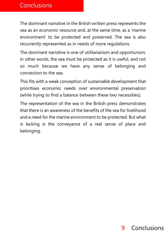The dominant narrative in the British written press represents the sea as an economic resource and, at the same time, as a 'marine environment' to be protected and preserved. The sea is also recurrently represented as in needs of more regulations.

The dominant narrative is one of utilitarianism and opportunism: in other words, the sea must be protected as it is useful, and not so much because we have any sense of belonging and connection to the sea.

This fits with a weak conception of sustainable development that prioritises economic needs over environmental preservation (while trying to find a balance between these two necessities).

The representation of the sea in the British press demonstrates that there is an awareness of the benefits of the sea for livelihood and a need for the marine environment to be protected. But what is lacking is the conveyance of a real sense of place and belonging.

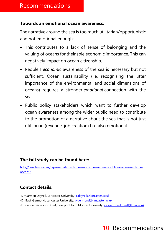#### **Towards an emotional ocean awareness:**

The narrative around the sea is too much utilitarian/opportunistic and not emotional enough:

- This contributes to a lack of sense of belonging and the valuing of oceans for their sole economic importance. This can negatively impact on ocean citizenship.
- People's *economic* awareness of the sea is necessary but not sufficient. Ocean sustainability (i.e. recognising the utter importance of the environmental and social dimensions of oceans) requires a stronger *emotional* connection with the sea.
- Public policy stakeholders which want to further develop ocean awareness among the wider public need to contribute to the promotion of a narrative about the sea that is not just utilitarian (revenue, job creation) but also emotional.

#### **The full study can be found here:**

[http://cass.lancs.ac.uk/representation-of-the-sea-in-the-uk-press-public-awareness-of-the](http://cass.lancs.ac.uk/representation-of-the-sea-in-the-uk-press-public-awareness-of-the-oceans/)[oceans/](http://cass.lancs.ac.uk/representation-of-the-sea-in-the-uk-press-public-awareness-of-the-oceans/)

#### **Contact details:**

- -Dr Carmen Dayrell, Lancaster University, [c.dayrell@lancaster.ac.uk](mailto:c.dayrell@lancaster.ac.uk)
- -Dr Basil Germond, Lancaster University, [b.germond@lancaster.ac.uk](mailto:b.germond@lancaster.ac.uk)
- -Dr Celine Germond-Duret, Liverpool John Moores University, [c.v.germondduret@ljmu.ac.uk](mailto:c.v.germondduret@ljmu.ac.uk)

## 10 Recommendations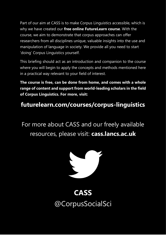Part of our aim at CASS is to make Corpus Linguistics accessible, which is why we have created our **free online FutureLearn course**. With the course, we aim to demonstrate that corpus approaches can offer researchers from all disciplines unique, valuable insights into the use and manipulation of language in society. We provide all you need to start 'doing' Corpus Linguistics yourself.

This briefing should act as an introduction and companion to the course where you will begin to apply the concepts and methods mentioned here in a practical way relevant to your field of interest.

**The course is free, can be done from home, and comes with a whole range of content and support from world-leading scholars in the field of Corpus Linguistics. For more, visit:**

#### **futurelearn.com/courses/corpus-linguistics**

For more about CASS and our freely available resources, please visit: **cass.lancs.ac.uk**



## **CASS** @CorpusSocialSci